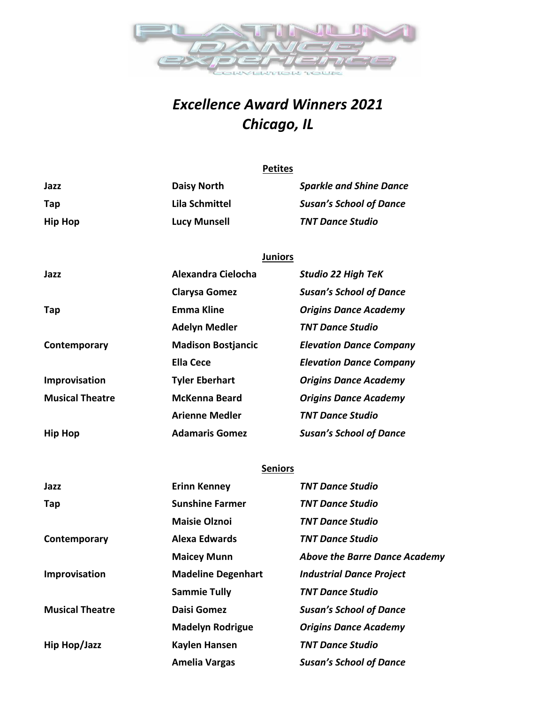

## *Excellence Award Winners 2021 Chicago, IL*

|                        | <b>Petites</b>            |                                |
|------------------------|---------------------------|--------------------------------|
| Jazz                   | <b>Daisy North</b>        | <b>Sparkle and Shine Dance</b> |
| Tap                    | <b>Lila Schmittel</b>     | <b>Susan's School of Dance</b> |
| <b>Hip Hop</b>         | <b>Lucy Munsell</b>       | <b>TNT Dance Studio</b>        |
|                        |                           |                                |
|                        | <b>Juniors</b>            |                                |
| Jazz                   | Alexandra Cielocha        | <b>Studio 22 High TeK</b>      |
|                        | <b>Clarysa Gomez</b>      | <b>Susan's School of Dance</b> |
| Tap                    | <b>Emma Kline</b>         | <b>Origins Dance Academy</b>   |
|                        | <b>Adelyn Medler</b>      | <b>TNT Dance Studio</b>        |
| Contemporary           | <b>Madison Bostjancic</b> | <b>Elevation Dance Company</b> |
|                        | <b>Ella Cece</b>          | <b>Elevation Dance Company</b> |
| Improvisation          | <b>Tyler Eberhart</b>     | <b>Origins Dance Academy</b>   |
| <b>Musical Theatre</b> | <b>McKenna Beard</b>      | <b>Origins Dance Academy</b>   |
|                        | <b>Arienne Medler</b>     | <b>TNT Dance Studio</b>        |
| <b>Hip Hop</b>         | <b>Adamaris Gomez</b>     | <b>Susan's School of Dance</b> |
|                        |                           |                                |
|                        | <b>Seniors</b>            |                                |
| Jazz                   | <b>Erinn Kenney</b>       | <b>TNT Dance Studio</b>        |
| Tap                    | <b>Sunshine Farmer</b>    | TNT Dance Studio               |

| Tap                    | <b>Sunshine Farmer</b>    | <b>TNT Dance Studio</b>              |
|------------------------|---------------------------|--------------------------------------|
|                        | <b>Maisie Olznoi</b>      | <b>TNT Dance Studio</b>              |
| Contemporary           | <b>Alexa Edwards</b>      | <b>TNT Dance Studio</b>              |
|                        | <b>Maicey Munn</b>        | <b>Above the Barre Dance Academy</b> |
| Improvisation          | <b>Madeline Degenhart</b> | <b>Industrial Dance Project</b>      |
|                        | <b>Sammie Tully</b>       | <b>TNT Dance Studio</b>              |
| <b>Musical Theatre</b> | Daisi Gomez               | <b>Susan's School of Dance</b>       |
|                        | <b>Madelyn Rodrigue</b>   | <b>Origins Dance Academy</b>         |
| Hip Hop/Jazz           | <b>Kaylen Hansen</b>      | <b>TNT Dance Studio</b>              |
|                        | <b>Amelia Vargas</b>      | <b>Susan's School of Dance</b>       |